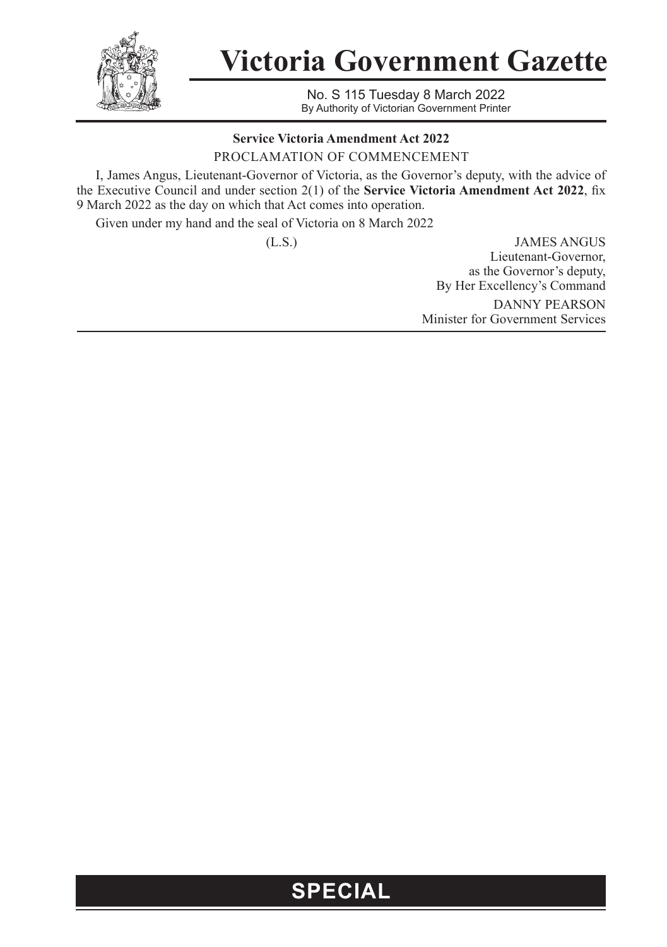

**Victoria Government Gazette**

No. S 115 Tuesday 8 March 2022 By Authority of Victorian Government Printer

## **Service Victoria Amendment Act 2022**

PROCLAMATION OF COMMENCEMENT

I, James Angus, Lieutenant-Governor of Victoria, as the Governor's deputy, with the advice of the Executive Council and under section 2(1) of the **Service Victoria Amendment Act 2022**, fix 9 March 2022 as the day on which that Act comes into operation.

Given under my hand and the seal of Victoria on 8 March 2022

(L.S.) JAMES ANGUS Lieutenant-Governor, as the Governor's deputy, By Her Excellency's Command DANNY PEARSON Minister for Government Services

## **SPECIAL**